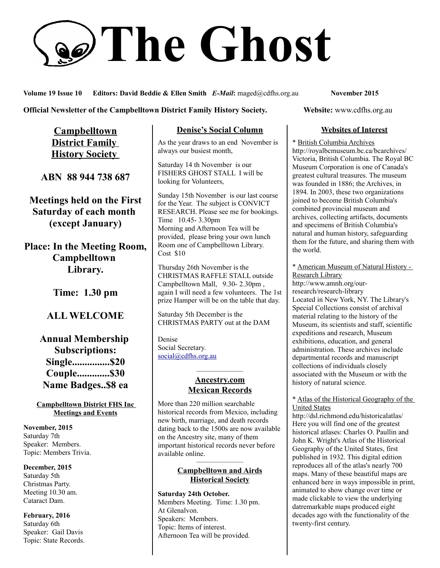# **The Ghost**

**Volume 19 Issue 10 Editors: David Beddie & Ellen Smith** *E-Mail***:** maged@cdfhs.org.au **November 2015**

**Official Newsletter of the Campbelltown District Family History Society. Website: www.cdfhs.org.au** 

**Campbelltown District Family History Society** 

**ABN 88 944 738 687**

**Meetings held on the First Saturday of each month (except January)**

**Place: In the Meeting Room, Campbelltown Library.**

**Time: 1.30 pm**

## **ALL WELCOME**

**Annual Membership Subscriptions: Single...............\$20 Couple.............\$30 Name Badges..\$8 ea**

**Campbelltown District FHS Inc Meetings and Events**

**November, 2015** Saturday 7th Speaker: Members. Topic: Members Trivia.

**December, 2015** Saturday 5th Christmas Party. Meeting 10.30 am. Cataract Dam.

**February, 2016** Saturday 6th Speaker: Gail Davis Topic: State Records.

## **Denise's Social Column**

As the year draws to an end November is always our busiest month,

Saturday 14 th November is our FISHERS GHOST STALL I will be looking for Volunteers,

Sunday 15th November is our last course for the Year. The subject is CONVICT RESEARCH. Please see me for bookings. Time 10.45- 3.30pm Morning and Afternoon Tea will be provided, please bring your own lunch Room one of Campbelltown Library. Cost \$10

Thursday 26th November is the CHRISTMAS RAFFLE STALL outside Campbelltown Mall, 9.30- 2.30pm , again I will need a few volunteers. The 1st prize Hamper will be on the table that day.

Saturday 5th December is the CHRISTMAS PARTY out at the DAM

Denise Social Secretary. [social@cdfhs.org.au](mailto:social@cdfhs.org.au)

### ——————– **Ancestry.com Mexican Records**

More than 220 million searchable historical records from Mexico, including new birth, marriage, and death records dating back to the 1500s are now available on the Ancestry site, many of them important historical records never before available online.

#### ——————– **Campbelltown and Airds Historical Society**

**Saturday 24th October.** Members Meeting. Time: 1.30 pm. At Glenalvon. Speakers: Members. Topic: Items of interest. Afternoon Tea will be provided.

## **Websites of Interest**

\* British Columbia Archives http://royalbcmuseum.bc.ca/bcarchives/ Victoria, British Columbia. The Royal BC Museum Corporation is one of Canada's greatest cultural treasures. The museum was founded in 1886; the Archives, in 1894. In 2003, these two organizations joined to become British Columbia's combined provincial museum and archives, collecting artifacts, documents and specimens of British Columbia's natural and human history, safeguarding them for the future, and sharing them with the world.

\* American Museum of Natural History - Research Library http://www.amnh.org/our-

research/research-library Located in New York, NY. The Library's Special Collections consist of archival material relating to the history of the Museum, its scientists and staff, scientific expeditions and research, Museum exhibitions, education, and general administration. These archives include departmental records and manuscript collections of individuals closely associated with the Museum or with the history of natural science.

#### \* Atlas of the Historical Geography of the United States

http://dsl.richmond.edu/historicalatlas/ Here you will find one of the greatest historical atlases: Charles O. Paullin and John K. Wright's Atlas of the Historical Geography of the United States, first published in 1932. This digital edition reproduces all of the atlas's nearly 700 maps. Many of these beautiful maps are enhanced here in ways impossible in print, animated to show change over time or made clickable to view the underlying datremarkable maps produced eight decades ago with the functionality of the twenty-first century.